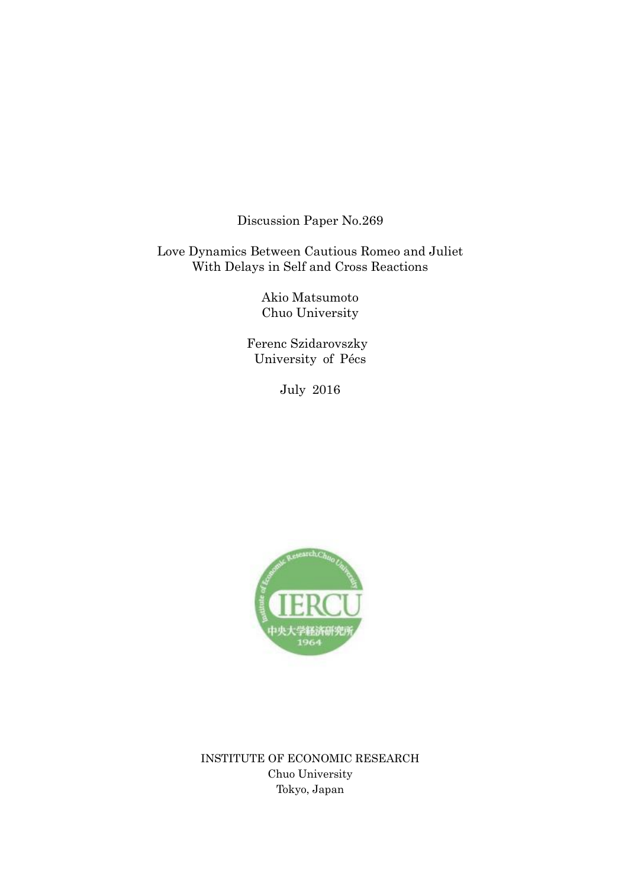Discussion Paper No.269

Love Dynamics Between Cautious Romeo and Juliet With Delays in Self and Cross Reactions

> Akio Matsumoto Chuo University

 Ferenc Szidarovszky University of Pécs

July 2016



INSTITUTE OF ECONOMIC RESEARCH Chuo University Tokyo, Japan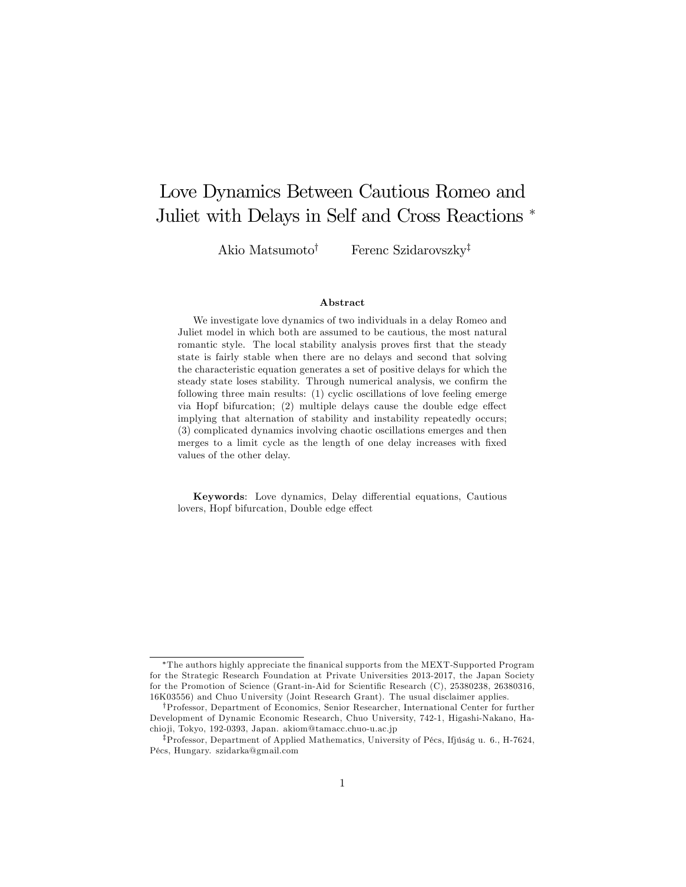# Love Dynamics Between Cautious Romeo and Juliet with Delays in Self and Cross Reactions

Akio Matsumoto<sup>†</sup> Ferenc Szidarovszky<sup>‡</sup>

#### Abstract

We investigate love dynamics of two individuals in a delay Romeo and Juliet model in which both are assumed to be cautious, the most natural romantic style. The local stability analysis proves first that the steady state is fairly stable when there are no delays and second that solving the characteristic equation generates a set of positive delays for which the steady state loses stability. Through numerical analysis, we confirm the following three main results: (1) cyclic oscillations of love feeling emerge via Hopf bifurcation;  $(2)$  multiple delays cause the double edge effect implying that alternation of stability and instability repeatedly occurs; (3) complicated dynamics involving chaotic oscillations emerges and then merges to a limit cycle as the length of one delay increases with fixed values of the other delay.

Keywords: Love dynamics, Delay differential equations, Cautious lovers, Hopf bifurcation, Double edge effect

The authors highly appreciate the Önanical supports from the MEXT-Supported Program for the Strategic Research Foundation at Private Universities 2013-2017, the Japan Society for the Promotion of Science (Grant-in-Aid for Scientific Research (C), 25380238, 26380316, 16K03556) and Chuo University (Joint Research Grant). The usual disclaimer applies.

yProfessor, Department of Economics, Senior Researcher, International Center for further Development of Dynamic Economic Research, Chuo University, 742-1, Higashi-Nakano, Hachio ji, Tokyo, 192-0393, Japan. akiom@tamacc.chuo-u.ac.jp

<sup>&</sup>lt;sup>‡</sup>Professor, Department of Applied Mathematics, University of Pécs, Ifjúság u. 6., H-7624, PÈcs, Hungary. szidarka@gmail.com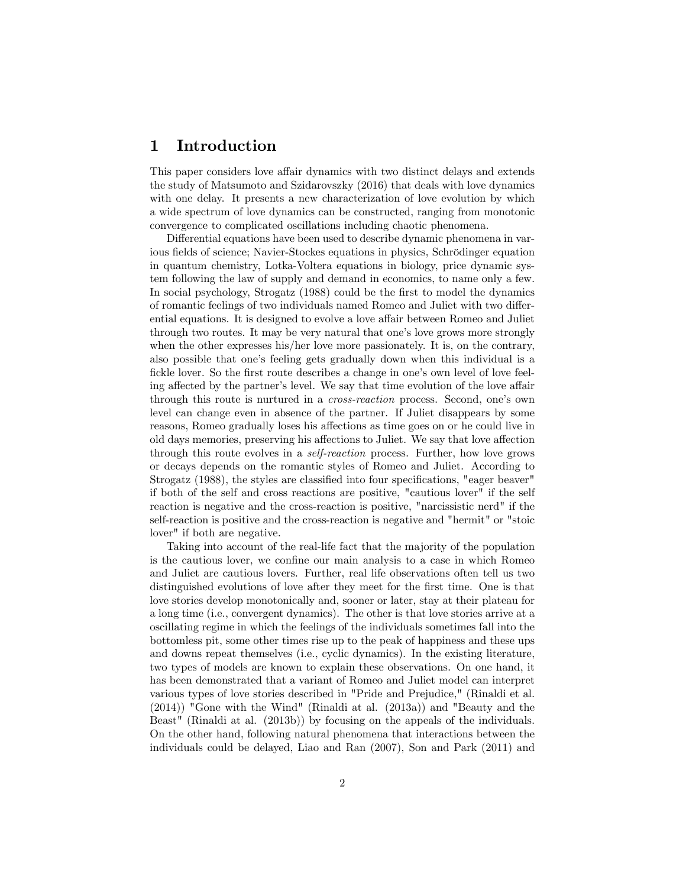## 1 Introduction

This paper considers love affair dynamics with two distinct delays and extends the study of Matsumoto and Szidarovszky (2016) that deals with love dynamics with one delay. It presents a new characterization of love evolution by which a wide spectrum of love dynamics can be constructed, ranging from monotonic convergence to complicated oscillations including chaotic phenomena.

Differential equations have been used to describe dynamic phenomena in various fields of science; Navier-Stockes equations in physics, Schrödinger equation in quantum chemistry, Lotka-Voltera equations in biology, price dynamic system following the law of supply and demand in economics, to name only a few. In social psychology, Strogatz (1988) could be the first to model the dynamics of romantic feelings of two individuals named Romeo and Juliet with two differential equations. It is designed to evolve a love affair between Romeo and Juliet through two routes. It may be very natural that one's love grows more strongly when the other expresses his/her love more passionately. It is, on the contrary, also possible that one's feeling gets gradually down when this individual is a fickle lover. So the first route describes a change in one's own level of love feeling affected by the partner's level. We say that time evolution of the love affair through this route is nurtured in a *cross-reaction* process. Second, one's own level can change even in absence of the partner. If Juliet disappears by some reasons, Romeo gradually loses his affections as time goes on or he could live in old days memories, preserving his affections to Juliet. We say that love affection through this route evolves in a self-reaction process. Further, how love grows or decays depends on the romantic styles of Romeo and Juliet. According to Strogatz (1988), the styles are classified into four specifications, "eager beaver" if both of the self and cross reactions are positive, "cautious lover" if the self reaction is negative and the cross-reaction is positive, "narcissistic nerd" if the self-reaction is positive and the cross-reaction is negative and "hermit" or "stoic lover" if both are negative.

Taking into account of the real-life fact that the majority of the population is the cautious lover, we confine our main analysis to a case in which Romeo and Juliet are cautious lovers. Further, real life observations often tell us two distinguished evolutions of love after they meet for the first time. One is that love stories develop monotonically and, sooner or later, stay at their plateau for a long time (i.e., convergent dynamics). The other is that love stories arrive at a oscillating regime in which the feelings of the individuals sometimes fall into the bottomless pit, some other times rise up to the peak of happiness and these ups and downs repeat themselves (i.e., cyclic dynamics). In the existing literature, two types of models are known to explain these observations. On one hand, it has been demonstrated that a variant of Romeo and Juliet model can interpret various types of love stories described in "Pride and Prejudice," (Rinaldi et al. (2014)) "Gone with the Wind" (Rinaldi at al. (2013a)) and "Beauty and the Beast" (Rinaldi at al. (2013b)) by focusing on the appeals of the individuals. On the other hand, following natural phenomena that interactions between the individuals could be delayed, Liao and Ran (2007), Son and Park (2011) and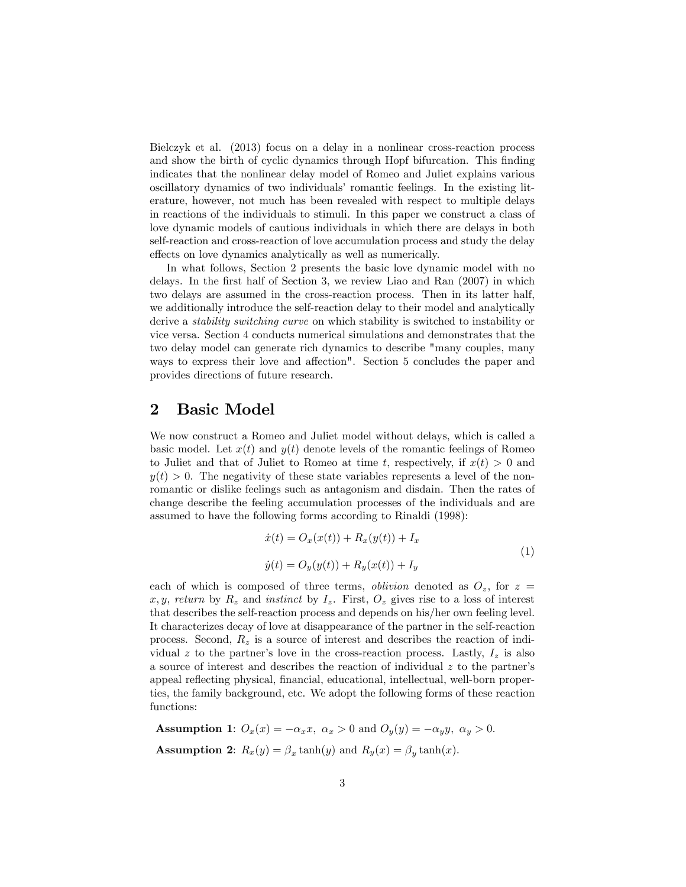Bielczyk et al. (2013) focus on a delay in a nonlinear cross-reaction process and show the birth of cyclic dynamics through Hopf bifurcation. This finding indicates that the nonlinear delay model of Romeo and Juliet explains various oscillatory dynamics of two individuals' romantic feelings. In the existing literature, however, not much has been revealed with respect to multiple delays in reactions of the individuals to stimuli. In this paper we construct a class of love dynamic models of cautious individuals in which there are delays in both self-reaction and cross-reaction of love accumulation process and study the delay effects on love dynamics analytically as well as numerically.

In what follows, Section 2 presents the basic love dynamic model with no delays. In the first half of Section 3, we review Liao and Ran  $(2007)$  in which two delays are assumed in the cross-reaction process. Then in its latter half, we additionally introduce the self-reaction delay to their model and analytically derive a stability switching curve on which stability is switched to instability or vice versa. Section 4 conducts numerical simulations and demonstrates that the two delay model can generate rich dynamics to describe "many couples, many ways to express their love and affection". Section 5 concludes the paper and provides directions of future research.

### 2 Basic Model

We now construct a Romeo and Juliet model without delays, which is called a basic model. Let  $x(t)$  and  $y(t)$  denote levels of the romantic feelings of Romeo to Juliet and that of Juliet to Romeo at time t, respectively, if  $x(t) > 0$  and  $y(t) > 0$ . The negativity of these state variables represents a level of the nonromantic or dislike feelings such as antagonism and disdain. Then the rates of change describe the feeling accumulation processes of the individuals and are assumed to have the following forms according to Rinaldi (1998):

$$
\begin{aligned} \dot{x}(t) &= O_x(x(t)) + R_x(y(t)) + I_x \\ \dot{y}(t) &= O_y(y(t)) + R_y(x(t)) + I_y \end{aligned} \tag{1}
$$

each of which is composed of three terms, *oblivion* denoted as  $O_z$ , for  $z =$ x, y, return by  $R_z$  and instinct by  $I_z$ . First,  $O_z$  gives rise to a loss of interest that describes the self-reaction process and depends on his/her own feeling level. It characterizes decay of love at disappearance of the partner in the self-reaction process. Second,  $R_z$  is a source of interest and describes the reaction of individual z to the partner's love in the cross-reaction process. Lastly,  $I_z$  is also a source of interest and describes the reaction of individual  $z$  to the partner's appeal reflecting physical, financial, educational, intellectual, well-born properties, the family background, etc. We adopt the following forms of these reaction functions:

**Assumption 1:**  $O_x(x) = -\alpha_x x$ ,  $\alpha_x > 0$  and  $O_y(y) = -\alpha_y y$ ,  $\alpha_y > 0$ . **Assumption 2:**  $R_x(y) = \beta_x \tanh(y)$  and  $R_y(x) = \beta_y \tanh(x)$ .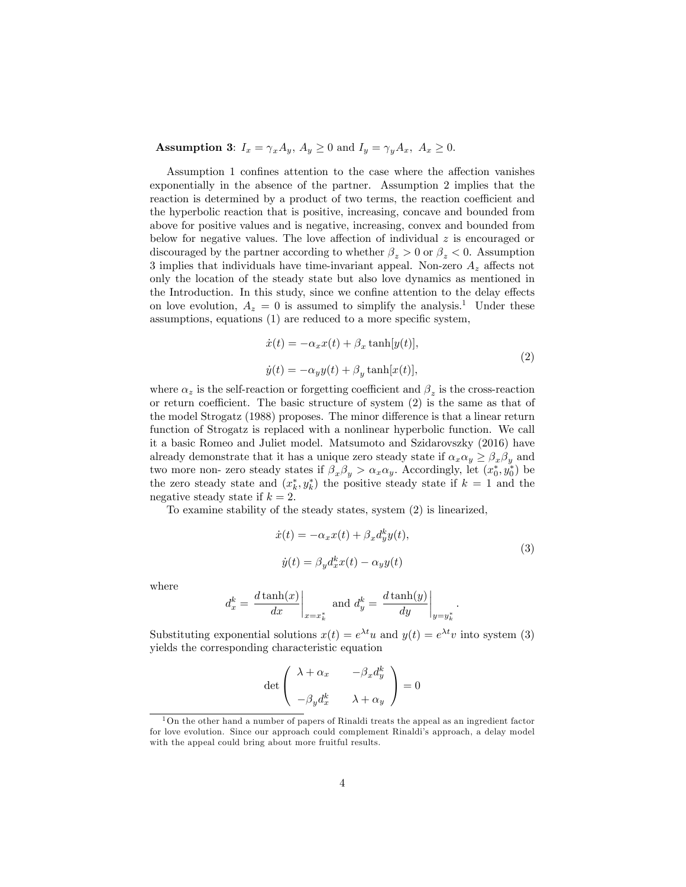**Assumption 3:**  $I_x = \gamma_x A_y$ ,  $A_y \ge 0$  and  $I_y = \gamma_y A_x$ ,  $A_x \ge 0$ .

Assumption 1 confines attention to the case where the affection vanishes exponentially in the absence of the partner. Assumption 2 implies that the reaction is determined by a product of two terms, the reaction coefficient and the hyperbolic reaction that is positive, increasing, concave and bounded from above for positive values and is negative, increasing, convex and bounded from below for negative values. The love affection of individual  $z$  is encouraged or discouraged by the partner according to whether  $\beta_z > 0$  or  $\beta_z < 0$ . Assumption 3 implies that individuals have time-invariant appeal. Non-zero  $A<sub>z</sub>$  affects not only the location of the steady state but also love dynamics as mentioned in the Introduction. In this study, since we confine attention to the delay effects on love evolution,  $A_z = 0$  is assumed to simplify the analysis.<sup>1</sup> Under these assumptions, equations  $(1)$  are reduced to a more specific system,

$$
\begin{aligned} \dot{x}(t) &= -\alpha_x x(t) + \beta_x \tanh[y(t)],\\ \dot{y}(t) &= -\alpha_y y(t) + \beta_y \tanh[x(t)], \end{aligned} \tag{2}
$$

where  $\alpha_z$  is the self-reaction or forgetting coefficient and  $\beta_z$  is the cross-reaction or return coefficient. The basic structure of system  $(2)$  is the same as that of the model Strogatz (1988) proposes. The minor difference is that a linear return function of Strogatz is replaced with a nonlinear hyperbolic function. We call it a basic Romeo and Juliet model. Matsumoto and Szidarovszky (2016) have already demonstrate that it has a unique zero steady state if  $\alpha_x \alpha_y \geq \beta_x \beta_y$  and two more non- zero steady states if  $\beta_x \beta_y > \alpha_x \alpha_y$ . Accordingly, let  $(x_0^*, y_0^*)$  be the zero steady state and  $(x_k^*, y_k^*)$  the positive steady state if  $k = 1$  and the negative steady state if  $k = 2$ .

To examine stability of the steady states, system (2) is linearized,

$$
\begin{aligned} \dot{x}(t) &= -\alpha_x x(t) + \beta_x d_y^k y(t), \\ \dot{y}(t) &= \beta_y d_x^k x(t) - \alpha_y y(t) \end{aligned} \tag{3}
$$

:

where

$$
d_x^k = \left. \frac{d \tanh(x)}{dx} \right|_{x=x_k^*} \text{ and } d_y^k = \left. \frac{d \tanh(y)}{dy} \right|_{y=y_k^*}
$$

Substituting exponential solutions  $x(t) = e^{\lambda t}u$  and  $y(t) = e^{\lambda t}v$  into system (3) yields the corresponding characteristic equation

$$
\det \left( \begin{array}{cc} \lambda+\alpha_x & -\beta_x d^k_y \\[1ex] -\beta_y d^k_x & \lambda+\alpha_y \end{array} \right)=0
$$

 $1$ On the other hand a number of papers of Rinaldi treats the appeal as an ingredient factor for love evolution. Since our approach could complement Rinaldi's approach, a delay model with the appeal could bring about more fruitful results.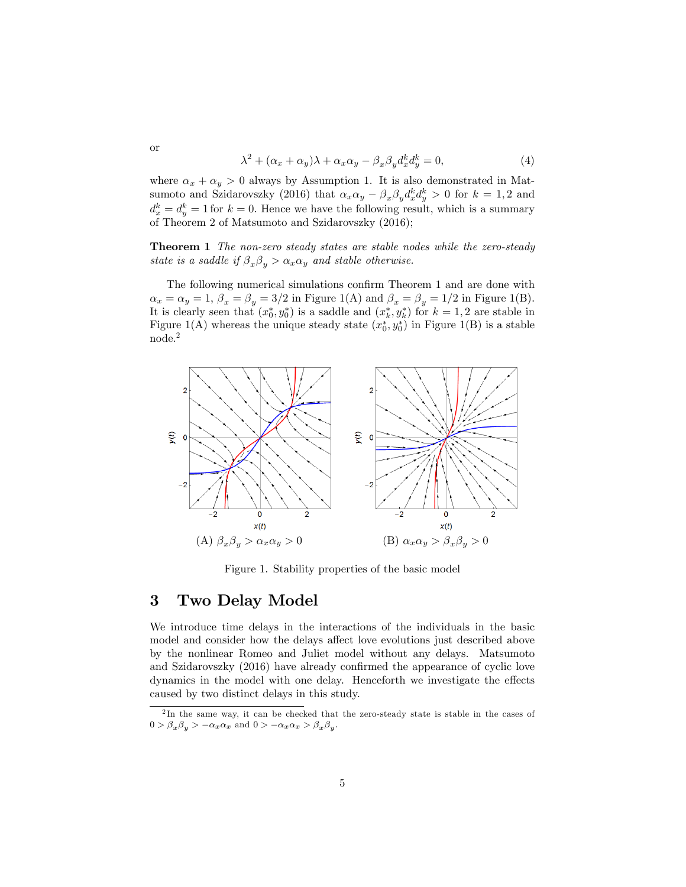$$
\lambda^2 + (\alpha_x + \alpha_y)\lambda + \alpha_x \alpha_y - \beta_x \beta_y d_x^k d_y^k = 0, \tag{4}
$$

where  $\alpha_x + \alpha_y > 0$  always by Assumption 1. It is also demonstrated in Matsumoto and Szidarovszky (2016) that  $\alpha_x \alpha_y - \beta_x \beta_y d_x^k d_y^k > 0$  for  $k = 1, 2$  and  $d_x^k = d_y^k = 1$  for  $k = 0$ . Hence we have the following result, which is a summary of Theorem 2 of Matsumoto and Szidarovszky (2016);

Theorem 1 The non-zero steady states are stable nodes while the zero-steady state is a saddle if  $\beta_x \beta_y > \alpha_x \alpha_y$  and stable otherwise.

The following numerical simulations confirm Theorem 1 and are done with  $\alpha_x = \alpha_y = 1$ ,  $\beta_x = \beta_y = 3/2$  in Figure 1(A) and  $\beta_x = \beta_y = 1/2$  in Figure 1(B). It is clearly seen that  $(x_0^*, y_0^*)$  is a saddle and  $(x_k^*, y_k^*)$  for  $k = 1, 2$  are stable in Figure 1(A) whereas the unique steady state  $(x_0^*, y_0^*)$  in Figure 1(B) is a stable node.<sup>2</sup>



Figure 1. Stability properties of the basic model

## 3 Two Delay Model

We introduce time delays in the interactions of the individuals in the basic model and consider how the delays affect love evolutions just described above by the nonlinear Romeo and Juliet model without any delays. Matsumoto and Szidarovszky  $(2016)$  have already confirmed the appearance of cyclic love dynamics in the model with one delay. Henceforth we investigate the effects caused by two distinct delays in this study.

or

<sup>&</sup>lt;sup>2</sup>In the same way, it can be checked that the zero-steady state is stable in the cases of  $0 > \beta_x \beta_y > -\alpha_x \alpha_x$  and  $0 > -\alpha_x \alpha_x > \beta_x \beta_y$ .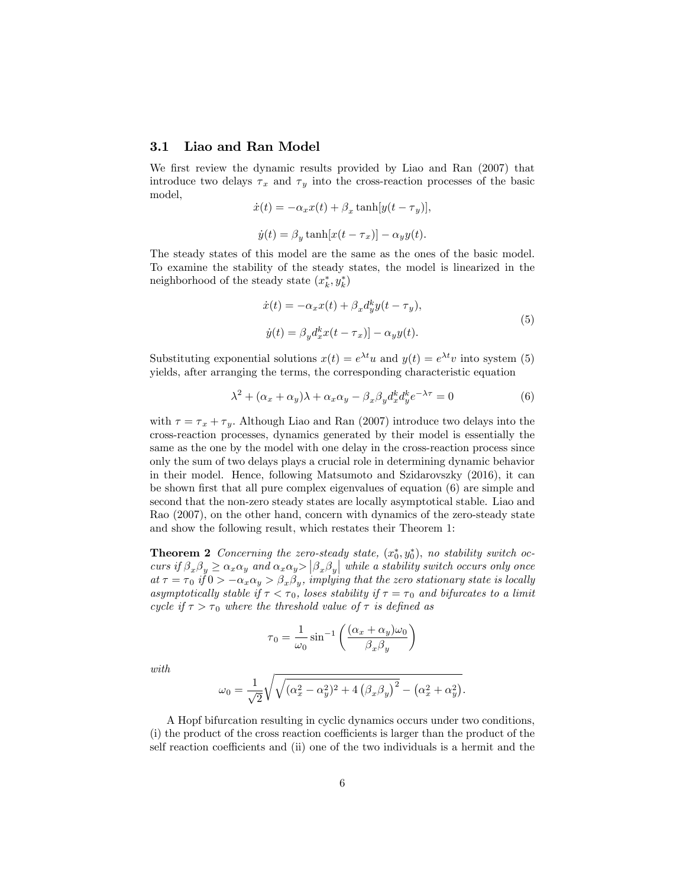#### 3.1 Liao and Ran Model

We first review the dynamic results provided by Liao and Ran (2007) that introduce two delays  $\tau_x$  and  $\tau_y$  into the cross-reaction processes of the basic model,

$$
\dot{x}(t) = -\alpha_x x(t) + \beta_x \tanh[y(t - \tau_y)],
$$
  

$$
\dot{y}(t) = \beta_y \tanh[x(t - \tau_x)] - \alpha_y y(t).
$$

The steady states of this model are the same as the ones of the basic model. To examine the stability of the steady states, the model is linearized in the neighborhood of the steady state  $(x_k^*, y_k^*)$ 

$$
\begin{aligned}\n\dot{x}(t) &= -\alpha_x x(t) + \beta_x d_y^k y(t - \tau_y), \\
\dot{y}(t) &= \beta_y d_x^k x(t - \tau_x) - \alpha_y y(t).\n\end{aligned} \tag{5}
$$

Substituting exponential solutions  $x(t) = e^{\lambda t}u$  and  $y(t) = e^{\lambda t}v$  into system (5) yields, after arranging the terms, the corresponding characteristic equation

$$
\lambda^2 + (\alpha_x + \alpha_y)\lambda + \alpha_x \alpha_y - \beta_x \beta_y d_x^k d_y^k e^{-\lambda \tau} = 0 \tag{6}
$$

with  $\tau = \tau_x + \tau_y$ . Although Liao and Ran (2007) introduce two delays into the cross-reaction processes, dynamics generated by their model is essentially the same as the one by the model with one delay in the cross-reaction process since only the sum of two delays plays a crucial role in determining dynamic behavior in their model. Hence, following Matsumoto and Szidarovszky (2016), it can be shown first that all pure complex eigenvalues of equation  $(6)$  are simple and second that the non-zero steady states are locally asymptotical stable. Liao and Rao (2007), on the other hand, concern with dynamics of the zero-steady state and show the following result, which restates their Theorem 1:

**Theorem 2** Concerning the zero-steady state,  $(x_0^*, y_0^*)$ , no stability switch occurs if  $\beta_x \beta_y \ge \alpha_x \alpha_y$  and  $\alpha_x \alpha_y > |\beta_x \beta_y|$  while a stability switch occurs only once at  $\tau = \tau_0$  if  $0 > -\alpha_x \alpha_y > \beta_x \beta_y$ , implying that the zero stationary state is locally asymptotically stable if  $\tau < \tau_0$ , loses stability if  $\tau = \tau_0$  and bifurcates to a limit cycle if  $\tau > \tau_0$  where the threshold value of  $\tau$  is defined as

$$
\tau_0 = \frac{1}{\omega_0} \sin^{-1} \left( \frac{(\alpha_x + \alpha_y)\omega_0}{\beta_x \beta_y} \right)
$$

with

$$
\omega_0 = \frac{1}{\sqrt{2}} \sqrt{\sqrt{(\alpha_x^2 - \alpha_y^2)^2 + 4 (\beta_x \beta_y)^2} - (\alpha_x^2 + \alpha_y^2)}.
$$

A Hopf bifurcation resulting in cyclic dynamics occurs under two conditions,  $(i)$  the product of the cross reaction coefficients is larger than the product of the self reaction coefficients and (ii) one of the two individuals is a hermit and the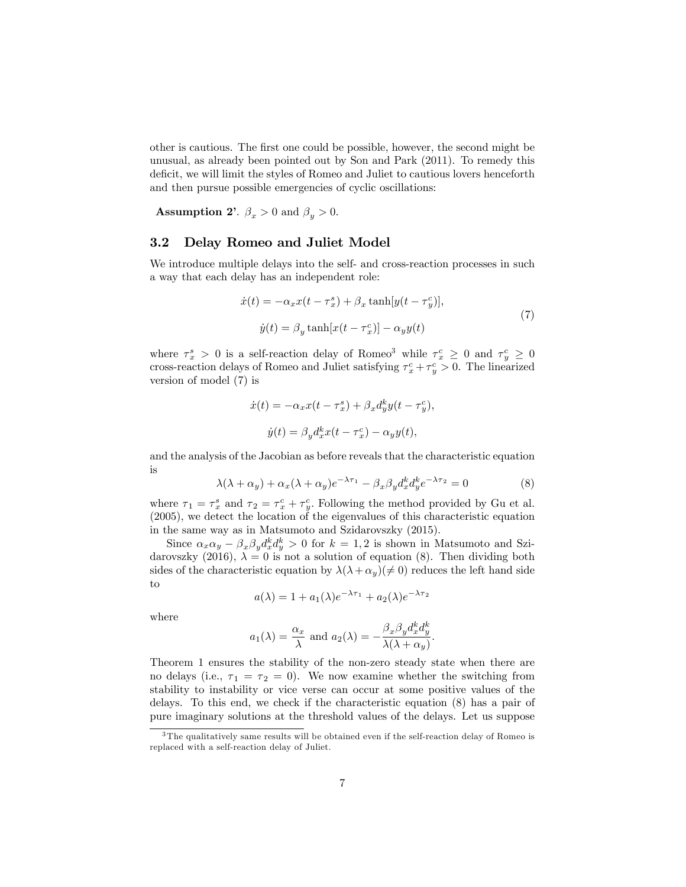other is cautious. The first one could be possible, however, the second might be unusual, as already been pointed out by Son and Park (2011). To remedy this deficit, we will limit the styles of Romeo and Juliet to cautious lovers henceforth and then pursue possible emergencies of cyclic oscillations:

**Assumption 2'**.  $\beta_x > 0$  and  $\beta_y > 0$ .

#### 3.2 Delay Romeo and Juliet Model

We introduce multiple delays into the self- and cross-reaction processes in such a way that each delay has an independent role:

$$
\begin{aligned} \dot{x}(t) &= -\alpha_x x(t - \tau_x^s) + \beta_x \tanh[y(t - \tau_y^c)],\\ \dot{y}(t) &= \beta_y \tanh[x(t - \tau_x^c)] - \alpha_y y(t) \end{aligned} \tag{7}
$$

where  $\tau_x^s > 0$  is a self-reaction delay of Romeo<sup>3</sup> while  $\tau_x^c \geq 0$  and  $\tau_y^c \geq 0$ cross-reaction delays of Romeo and Juliet satisfying  $\tau_x^c + \tau_y^c > 0$ . The linearized version of model (7) is

$$
\dot{x}(t) = -\alpha_x x(t - \tau_x^s) + \beta_x d_y^k y(t - \tau_y^c),
$$
  

$$
\dot{y}(t) = \beta_y d_x^k x(t - \tau_x^c) - \alpha_y y(t),
$$

and the analysis of the Jacobian as before reveals that the characteristic equation is

$$
\lambda(\lambda + \alpha_y) + \alpha_x(\lambda + \alpha_y)e^{-\lambda\tau_1} - \beta_x\beta_y d_x^k d_y^k e^{-\lambda\tau_2} = 0
$$
 (8)

where  $\tau_1 = \tau_x^s$  and  $\tau_2 = \tau_x^c + \tau_y^c$ . Following the method provided by Gu et al.  $(2005)$ , we detect the location of the eigenvalues of this characteristic equation in the same way as in Matsumoto and Szidarovszky (2015).

Since  $\alpha_x \alpha_y - \beta_x \beta_y d_x^k d_y^k > 0$  for  $k = 1, 2$  is shown in Matsumoto and Szidarovszky (2016),  $\lambda = 0$  is not a solution of equation (8). Then dividing both sides of the characteristic equation by  $\lambda(\lambda+\alpha_y)(\neq 0)$  reduces the left hand side to

$$
a(\lambda) = 1 + a_1(\lambda)e^{-\lambda \tau_1} + a_2(\lambda)e^{-\lambda \tau_2}
$$

where

$$
a_1(\lambda) = \frac{\alpha_x}{\lambda}
$$
 and  $a_2(\lambda) = -\frac{\beta_x \beta_y d_x^k d_y^k}{\lambda(\lambda + \alpha_y)}$ .

Theorem 1 ensures the stability of the non-zero steady state when there are no delays (i.e.,  $\tau_1 = \tau_2 = 0$ ). We now examine whether the switching from stability to instability or vice verse can occur at some positive values of the delays. To this end, we check if the characteristic equation (8) has a pair of pure imaginary solutions at the threshold values of the delays. Let us suppose

<sup>&</sup>lt;sup>3</sup>The qualitatively same results will be obtained even if the self-reaction delay of Romeo is replaced with a self-reaction delay of Juliet.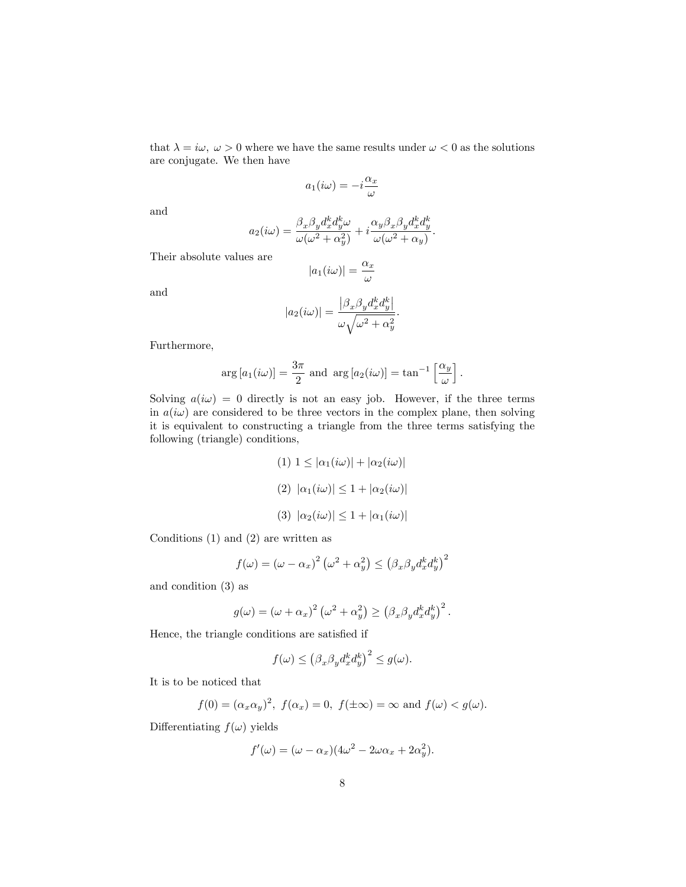that  $\lambda = i\omega, \ \omega > 0$  where we have the same results under  $\omega < 0$  as the solutions are conjugate. We then have

$$
a_1(i\omega) = -i\frac{\alpha_x}{\omega}
$$

and

$$
a_2(i\omega) = \frac{\beta_x \beta_y d_x^k d_y^k \omega}{\omega(\omega^2 + \alpha_y^2)} + i \frac{\alpha_y \beta_x \beta_y d_x^k d_y^k}{\omega(\omega^2 + \alpha_y)}.
$$

Their absolute values are

$$
|a_1(i\omega)| = \frac{\alpha_x}{\omega}
$$

and

$$
|a_2(i\omega)| = \frac{\left|\beta_x \beta_y d_x^k d_y^k\right|}{\omega \sqrt{\omega^2 + \alpha_y^2}}.
$$

Furthermore,

$$
\arg\left[a_1(i\omega)\right] = \frac{3\pi}{2} \text{ and } \arg\left[a_2(i\omega)\right] = \tan^{-1}\left[\frac{\alpha_y}{\omega}\right].
$$

Solving  $a(i\omega) = 0$  directly is not an easy job. However, if the three terms in  $a(i\omega)$  are considered to be three vectors in the complex plane, then solving it is equivalent to constructing a triangle from the three terms satisfying the following (triangle) conditions,

$$
(1) 1 \leq |\alpha_1(i\omega)| + |\alpha_2(i\omega)|
$$

$$
(2) |\alpha_1(i\omega)| \leq 1 + |\alpha_2(i\omega)|
$$

$$
(3) |\alpha_2(i\omega)| \leq 1 + |\alpha_1(i\omega)|
$$

Conditions (1) and (2) are written as

$$
f(\omega) = (\omega - \alpha_x)^2 (\omega^2 + \alpha_y^2) \le (\beta_x \beta_y d_x^k d_y^k)^2
$$

and condition (3) as

$$
g(\omega) = (\omega + \alpha_x)^2 \left(\omega^2 + \alpha_y^2\right) \ge \left(\beta_x \beta_y d_x^k d_y^k\right)^2.
$$

Hence, the triangle conditions are satisfied if

$$
f(\omega) \le (\beta_x \beta_y d_x^k d_y^k)^2 \le g(\omega).
$$

It is to be noticed that

$$
f(0) = (\alpha_x \alpha_y)^2
$$
,  $f(\alpha_x) = 0$ ,  $f(\pm \infty) = \infty$  and  $f(\omega) < g(\omega)$ .

Differentiating  $f(\omega)$  yields

$$
f'(\omega) = (\omega - \alpha_x)(4\omega^2 - 2\omega\alpha_x + 2\alpha_y^2).
$$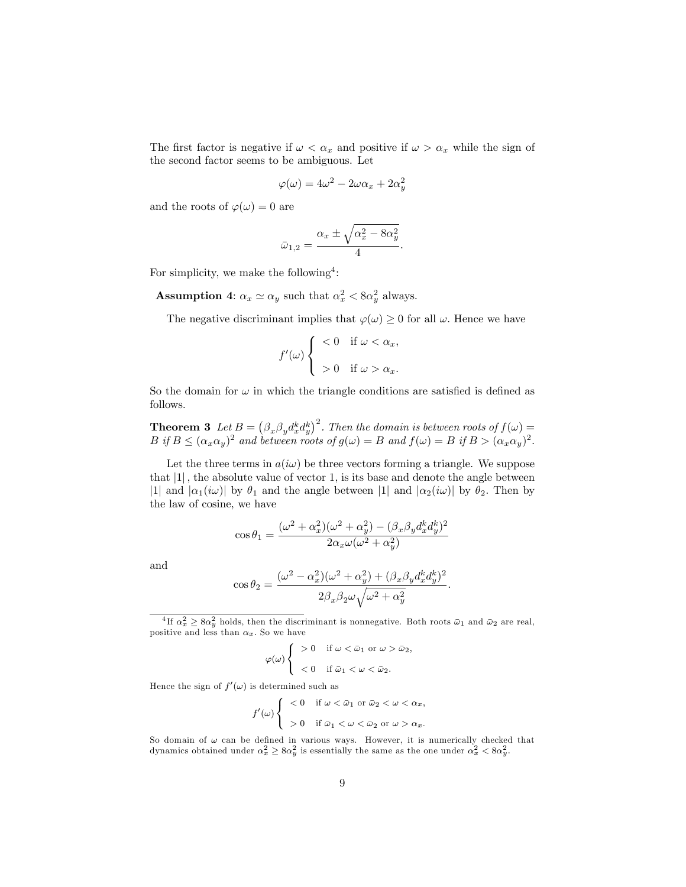The first factor is negative if  $\omega < \alpha_x$  and positive if  $\omega > \alpha_x$  while the sign of the second factor seems to be ambiguous. Let

$$
\varphi(\omega) = 4\omega^2 - 2\omega\alpha_x + 2\alpha_y^2
$$

and the roots of  $\varphi(\omega) = 0$  are

$$
\bar{\omega}_{1,2} = \frac{\alpha_x \pm \sqrt{\alpha_x^2 - 8\alpha_y^2}}{4}.
$$

For simplicity, we make the following<sup>4</sup>:

**Assumption 4:**  $\alpha_x \simeq \alpha_y$  such that  $\alpha_x^2 < 8\alpha_y^2$  always.

The negative discriminant implies that  $\varphi(\omega) \geq 0$  for all  $\omega$ . Hence we have

$$
f'(\omega) \begin{cases} < 0 \quad \text{if } \omega < \alpha_x, \\ > 0 \quad \text{if } \omega > \alpha_x. \end{cases}
$$

So the domain for  $\omega$  in which the triangle conditions are satisfied is defined as follows.

**Theorem 3** Let  $B = (\beta_x \beta_y d_x^k d_y^k)^2$ . Then the domain is between roots of  $f(\omega) =$  $B$  if  $B \leq (\alpha_x \alpha_y)^2$  and between roots of  $g(\omega) = B$  and  $f(\omega) = B$  if  $B > (\alpha_x \alpha_y)^2$ .

Let the three terms in  $a(i\omega)$  be three vectors forming a triangle. We suppose that  $|1|$ , the absolute value of vector 1, is its base and denote the angle between |1| and  $|\alpha_1(i\omega)|$  by  $\theta_1$  and the angle between |1| and  $|\alpha_2(i\omega)|$  by  $\theta_2$ . Then by the law of cosine, we have

$$
\cos\theta_1 = \frac{(\omega^2 + \alpha_x^2)(\omega^2 + \alpha_y^2) - (\beta_x\beta_y d_x^k d_y^k)^2}{2\alpha_x \omega(\omega^2 + \alpha_y^2)}
$$

and

$$
\cos\theta_2 = \frac{(\omega^2 - \alpha_x^2)(\omega^2 + \alpha_y^2) + (\beta_x\beta_y d_x^k d_y^k)^2}{2\beta_x\beta_2\omega\sqrt{\omega^2 + \alpha_y^2}}
$$

:

<sup>4</sup>If  $\alpha_x^2 \ge 8\alpha_y^2$  holds, then the discriminant is nonnegative. Both roots  $\bar{\omega}_1$  and  $\bar{\omega}_2$  are real, positive and less than  $\alpha_x$ . So we have

$$
\varphi(\omega) \left\{ \begin{array}{cl} >0 & \text{if } \omega < \bar{\omega}_1 \text{ or } \omega > \bar{\omega}_2, \\ & <0 & \text{if } \bar{\omega}_1 < \omega < \bar{\omega}_2. \end{array} \right.
$$

Hence the sign of  $f'(\omega)$  is determined such as

$$
f'(\omega) \begin{cases} < 0 \quad \text{if } \omega < \bar{\omega}_1 \text{ or } \bar{\omega}_2 < \omega < \alpha_x, \\ > 0 \quad \text{if } \bar{\omega}_1 < \omega < \bar{\omega}_2 \text{ or } \omega > \alpha_x. \end{cases}
$$

So domain of  $\omega$  can be defined in various ways. However, it is numerically checked that dynamics obtained under  $\alpha_x^2 \ge 8\alpha_y^2$  is essentially the same as the one under  $\alpha_x^2 < 8\alpha_y^2$ .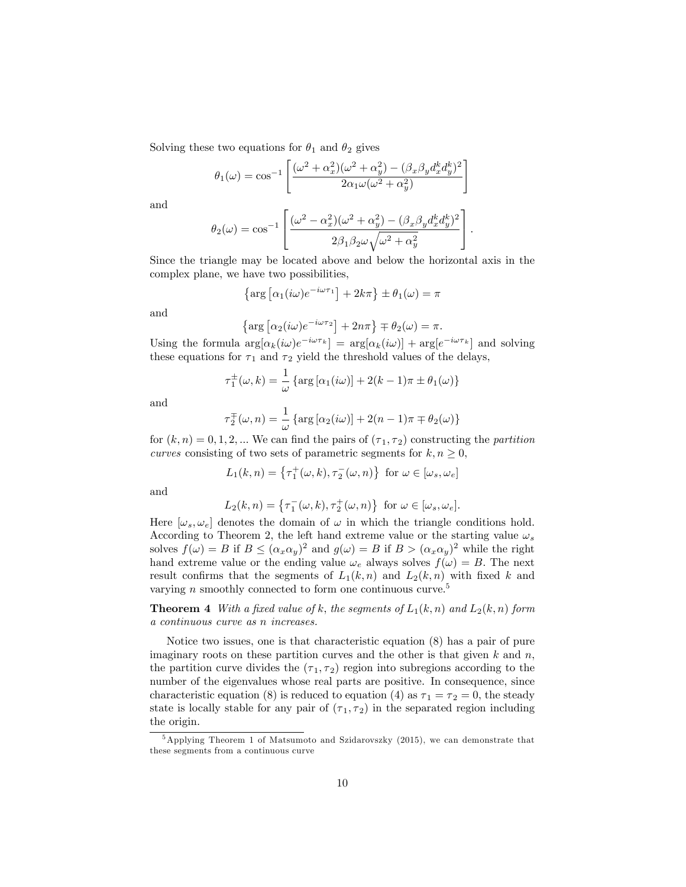Solving these two equations for  $\theta_1$  and  $\theta_2$  gives

$$
\theta_1(\omega) = \cos^{-1}\left[\frac{(\omega^2 + \alpha_x^2)(\omega^2 + \alpha_y^2) - (\beta_x \beta_y d_x^k d_y^k)^2}{2\alpha_1 \omega (\omega^2 + \alpha_y^2)}\right]
$$

and

$$
\theta_2(\omega)=\cos^{-1}\left[\frac{(\omega^2-\alpha_x^2)(\omega^2+\alpha_y^2)-(\beta_x\beta_yd_x^kd_y^k)^2}{2\beta_1\beta_2\omega\sqrt{\omega^2+\alpha_y^2}}\right].
$$

Since the triangle may be located above and below the horizontal axis in the complex plane, we have two possibilities,

$$
\left\{\arg\left[\alpha_1(i\omega)e^{-i\omega\tau_1}\right] + 2k\pi\right\} \pm \theta_1(\omega) = \pi
$$

and

$$
\left\{\arg\left[\alpha_2(i\omega)e^{-i\omega\tau_2}\right] + 2n\pi\right\} \mp \theta_2(\omega) = \pi.
$$

Using the formula  $\arg[\alpha_k(i\omega)e^{-i\omega\tau_k}] = \arg[\alpha_k(i\omega)] + \arg[e^{-i\omega\tau_k}]$  and solving these equations for  $\tau_1$  and  $\tau_2$  yield the threshold values of the delays,

$$
\tau_1^{\pm}(\omega,k) = \frac{1}{\omega} \left\{ \arg \left[ \alpha_1(i\omega) \right] + 2(k-1)\pi \pm \theta_1(\omega) \right\}
$$

and

$$
\tau_2^{\pm}(\omega, n) = \frac{1}{\omega} \left\{ \arg \left[ \alpha_2(i\omega) \right] + 2(n-1)\pi \mp \theta_2(\omega) \right\}
$$

for  $(k, n) = 0, 1, 2, ...$  We can find the pairs of  $(\tau_1, \tau_2)$  constructing the partition curves consisting of two sets of parametric segments for  $k, n \geq 0$ ,

$$
L_1(k, n) = \left\{ \tau_1^+(\omega, k), \tau_2^-(\omega, n) \right\} \text{ for } \omega \in [\omega_s, \omega_e]
$$

and

$$
L_2(k,n) = \left\{ \tau_1^-(\omega,k), \tau_2^+(\omega,n) \right\} \text{ for } \omega \in [\omega_s, \omega_e].
$$

Here  $[\omega_s, \omega_e]$  denotes the domain of  $\omega$  in which the triangle conditions hold. According to Theorem 2, the left hand extreme value or the starting value  $\omega_s$ solves  $f(\omega) = B$  if  $B \leq (\alpha_x \alpha_y)^2$  and  $g(\omega) = B$  if  $B > (\alpha_x \alpha_y)^2$  while the right hand extreme value or the ending value  $\omega_e$  always solves  $f(\omega) = B$ . The next result confirms that the segments of  $L_1(k,n)$  and  $L_2(k,n)$  with fixed k and varying n smoothly connected to form one continuous curve.<sup>5</sup>

**Theorem 4** With a fixed value of k; the segments of  $L_1(k, n)$  and  $L_2(k, n)$  form a continuous curve as n increases.

Notice two issues, one is that characteristic equation (8) has a pair of pure imaginary roots on these partition curves and the other is that given  $k$  and  $n$ , the partition curve divides the  $(\tau_1, \tau_2)$  region into subregions according to the number of the eigenvalues whose real parts are positive. In consequence, since characteristic equation (8) is reduced to equation (4) as  $\tau_1 = \tau_2 = 0$ , the steady state is locally stable for any pair of  $(\tau_1, \tau_2)$  in the separated region including the origin.

 $5$ Applying Theorem 1 of Matsumoto and Szidarovszky (2015), we can demonstrate that these segments from a continuous curve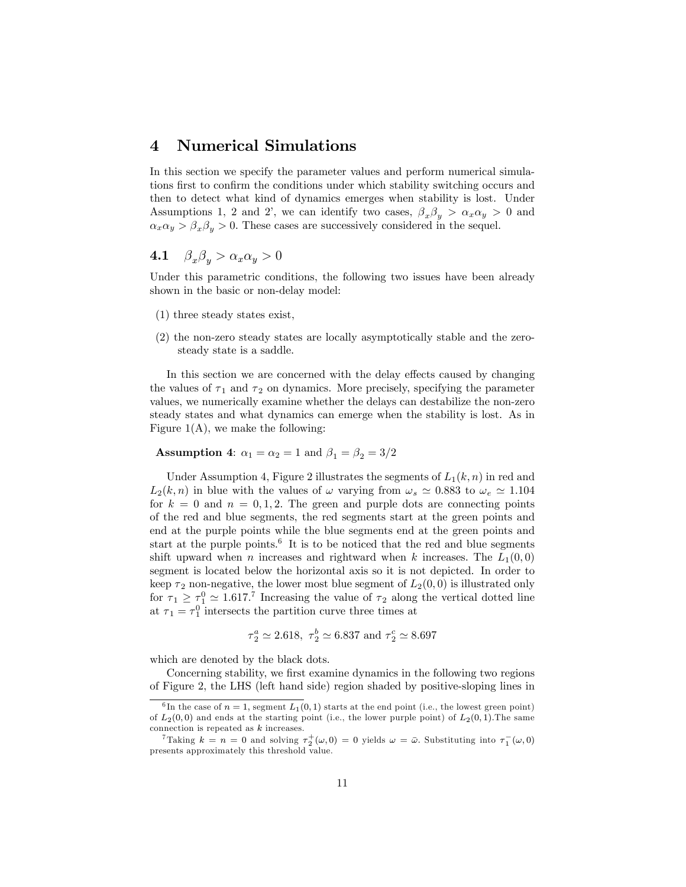## 4 Numerical Simulations

In this section we specify the parameter values and perform numerical simulations first to confirm the conditions under which stability switching occurs and then to detect what kind of dynamics emerges when stability is lost. Under Assumptions 1, 2 and 2', we can identify two cases,  $\beta_x \beta_y > \alpha_x \alpha_y > 0$  and  $\alpha_x\alpha_y > \beta_x\beta_y > 0.$  These cases are successively considered in the sequel.

#### 4.1  $\beta_x \beta_y > \alpha_x \alpha_y > 0$

Under this parametric conditions, the following two issues have been already shown in the basic or non-delay model:

- (1) three steady states exist,
- (2) the non-zero steady states are locally asymptotically stable and the zerosteady state is a saddle.

In this section we are concerned with the delay effects caused by changing the values of  $\tau_1$  and  $\tau_2$  on dynamics. More precisely, specifying the parameter values, we numerically examine whether the delays can destabilize the non-zero steady states and what dynamics can emerge when the stability is lost. As in Figure  $1(A)$ , we make the following:

**Assumption 4:**  $\alpha_1 = \alpha_2 = 1$  and  $\beta_1 = \beta_2 = 3/2$ 

Under Assumption 4, Figure 2 illustrates the segments of  $L_1(k, n)$  in red and  $L_2(k,n)$  in blue with the values of  $\omega$  varying from  $\omega_s \simeq 0.883$  to  $\omega_e \simeq 1.104$ for  $k = 0$  and  $n = 0, 1, 2$ . The green and purple dots are connecting points of the red and blue segments, the red segments start at the green points and end at the purple points while the blue segments end at the green points and start at the purple points.<sup>6</sup> It is to be noticed that the red and blue segments shift upward when *n* increases and rightward when *k* increases. The  $L_1(0,0)$ segment is located below the horizontal axis so it is not depicted. In order to keep  $\tau_2$  non-negative, the lower most blue segment of  $L_2(0,0)$  is illustrated only for  $\tau_1 \geq \tau_1^0 \simeq 1.617$ .<sup>7</sup> Increasing the value of  $\tau_2$  along the vertical dotted line at  $\tau_1 = \tau_1^0$  intersects the partition curve three times at

$$
\tau_2^a \simeq 2.618, \ \tau_2^b \simeq 6.837 \ \text{and} \ \tau_2^c \simeq 8.697
$$

which are denoted by the black dots.

Concerning stability, we first examine dynamics in the following two regions of Figure 2, the LHS (left hand side) region shaded by positive-sloping lines in

<sup>&</sup>lt;sup>6</sup>In the case of  $n = 1$ , segment  $L_1(0,1)$  starts at the end point (i.e., the lowest green point) of  $L_2(0,0)$  and ends at the starting point (i.e., the lower purple point) of  $L_2(0,1)$ . The same connection is repeated as k increases.

<sup>&</sup>lt;sup>7</sup>Taking  $k = n = 0$  and solving  $\tau_2^+(\omega, 0) = 0$  yields  $\omega = \bar{\omega}$ . Substituting into  $\tau_1^-(\omega, 0)$ presents approximately this threshold value.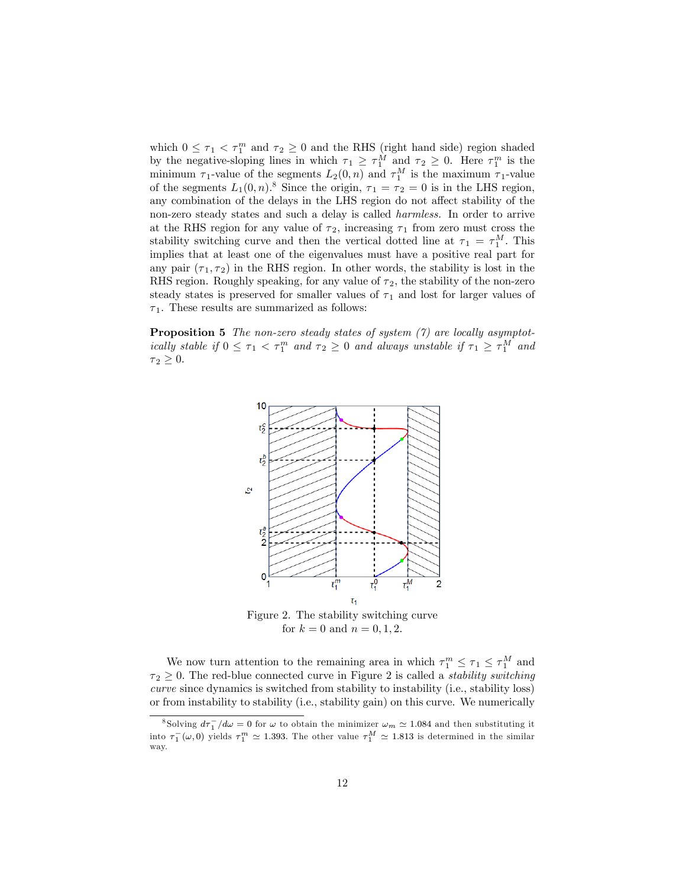which  $0 \leq \tau_1 < \tau_1^m$  and  $\tau_2 \geq 0$  and the RHS (right hand side) region shaded by the negative-sloping lines in which  $\tau_1 \geq \tau_1^M$  and  $\tau_2 \geq 0$ . Here  $\tau_1^m$  is the minimum  $\tau_1$ -value of the segments  $L_2(0, n)$  and  $\tau_1^M$  is the maximum  $\tau_1$ -value of the segments  $L_1(0,n)$ .<sup>8</sup> Since the origin,  $\tau_1 = \tau_2 = 0$  is in the LHS region, any combination of the delays in the LHS region do not affect stability of the non-zero steady states and such a delay is called harmless. In order to arrive at the RHS region for any value of  $\tau_2$ , increasing  $\tau_1$  from zero must cross the stability switching curve and then the vertical dotted line at  $\tau_1 = \tau_1^M$ . This implies that at least one of the eigenvalues must have a positive real part for any pair  $(\tau_1, \tau_2)$  in the RHS region. In other words, the stability is lost in the RHS region. Roughly speaking, for any value of  $\tau_2$ , the stability of the non-zero steady states is preserved for smaller values of  $\tau_1$  and lost for larger values of  $\tau_1$ . These results are summarized as follows:

**Proposition 5** The non-zero steady states of system  $(7)$  are locally asymptotically stable if  $0 \leq \tau_1 < \tau_1^m$  and  $\tau_2 \geq 0$  and always unstable if  $\tau_1 \geq \tau_1^M$  and  $\tau_2 \geq 0.$ 



Figure 2. The stability switching curve for  $k = 0$  and  $n = 0, 1, 2$ .

We now turn attention to the remaining area in which  $\tau_1^m \leq \tau_1 \leq \tau_1^M$  and  $\tau_2 \geq 0$ . The red-blue connected curve in Figure 2 is called a *stability switching* curve since dynamics is switched from stability to instability (i.e., stability loss) or from instability to stability (i.e., stability gain) on this curve. We numerically

<sup>&</sup>lt;sup>8</sup>Solving  $d\tau_1^-/d\omega = 0$  for  $\omega$  to obtain the minimizer  $\omega_m \simeq 1.084$  and then substituting it into  $\tau_1^-(\omega,0)$  yields  $\tau_1^m \simeq 1.393$ . The other value  $\tau_1^M \simeq 1.813$  is determined in the similar way.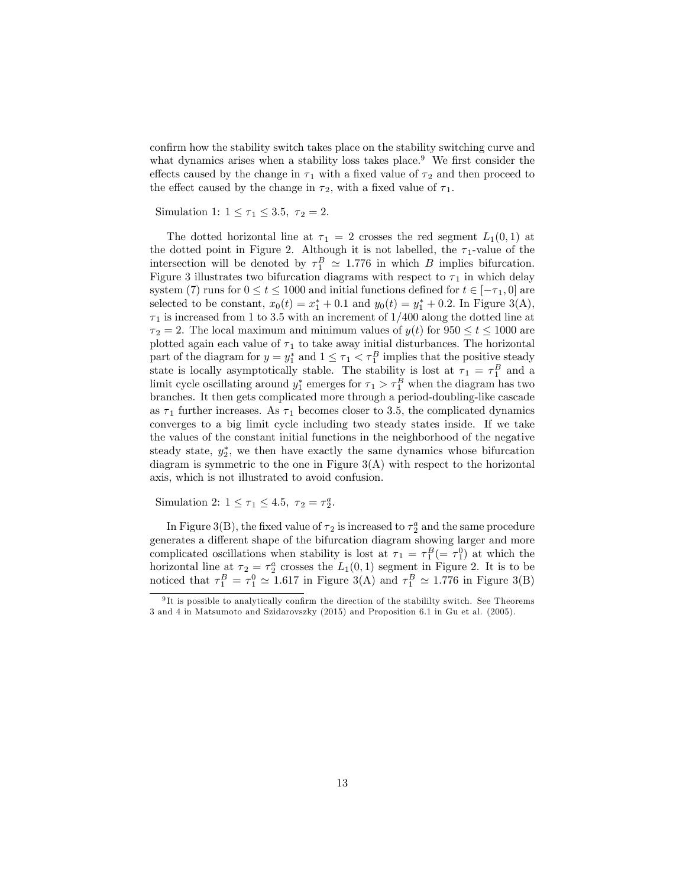confirm how the stability switch takes place on the stability switching curve and what dynamics arises when a stability loss takes place.<sup>9</sup> We first consider the effects caused by the change in  $\tau_1$  with a fixed value of  $\tau_2$  and then proceed to the effect caused by the change in  $\tau_2$ , with a fixed value of  $\tau_1$ .

Simulation 1:  $1 \leq \tau_1 \leq 3.5$ ,  $\tau_2 = 2$ .

The dotted horizontal line at  $\tau_1 = 2$  crosses the red segment  $L_1(0,1)$  at the dotted point in Figure 2. Although it is not labelled, the  $\tau_1$ -value of the intersection will be denoted by  $\tau_1^B \simeq 1.776$  in which B implies bifurcation. Figure 3 illustrates two bifurcation diagrams with respect to  $\tau_1$  in which delay system (7) runs for  $0 \le t \le 1000$  and initial functions defined for  $t \in [-\tau_1, 0]$  are selected to be constant,  $x_0(t) = x_1^* + 0.1$  and  $y_0(t) = y_1^* + 0.2$ . In Figure 3(A),  $\tau_1$  is increased from 1 to 3.5 with an increment of  $1/400$  along the dotted line at  $\tau_2 = 2$ . The local maximum and minimum values of  $y(t)$  for  $950 \le t \le 1000$  are plotted again each value of  $\tau_1$  to take away initial disturbances. The horizontal part of the diagram for  $y = y_1^*$  and  $1 \leq \tau_1 < \tau_1^B$  implies that the positive steady state is locally asymptotically stable. The stability is lost at  $\tau_1 = \tau_1^B$  and a limit cycle oscillating around  $y_1^*$  emerges for  $\tau_1 > \tau_1^B$  when the diagram has two branches. It then gets complicated more through a period-doubling-like cascade as  $\tau_1$  further increases. As  $\tau_1$  becomes closer to 3.5, the complicated dynamics converges to a big limit cycle including two steady states inside. If we take the values of the constant initial functions in the neighborhood of the negative steady state,  $y_2^*$ , we then have exactly the same dynamics whose bifurcation diagram is symmetric to the one in Figure  $3(A)$  with respect to the horizontal axis, which is not illustrated to avoid confusion.

Simulation 2:  $1 \leq \tau_1 \leq 4.5$ ,  $\tau_2 = \tau_2^a$ .

In Figure 3(B), the fixed value of  $\tau_2$  is increased to  $\tau_2^a$  and the same procedure generates a different shape of the bifurcation diagram showing larger and more complicated oscillations when stability is lost at  $\tau_1 = \tau_1^B (= \tau_1^0)$  at which the horizontal line at  $\tau_2 = \tau_2^a$  crosses the  $L_1(0,1)$  segment in Figure 2. It is to be noticed that  $\tau_1^B = \tau_1^0 \simeq 1.617$  in Figure 3(A) and  $\tau_1^B \simeq 1.776$  in Figure 3(B)

 $9$ It is possible to analytically confirm the direction of the stabililty switch. See Theorems 3 and 4 in Matsumoto and Szidarovszky (2015) and Proposition 6.1 in Gu et al. (2005).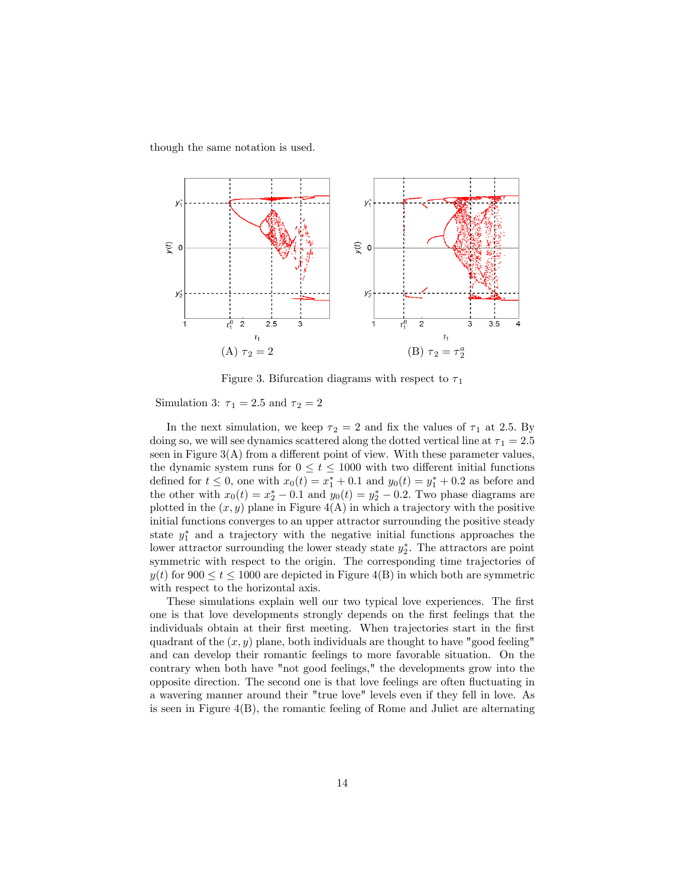though the same notation is used.



Figure 3. Bifurcation diagrams with respect to  $\tau_1$ 

Simulation 3:  $\tau_1 = 2.5$  and  $\tau_2 = 2$ 

In the next simulation, we keep  $\tau_2 = 2$  and fix the values of  $\tau_1$  at 2.5. By doing so, we will see dynamics scattered along the dotted vertical line at  $\tau_1 = 2.5$ seen in Figure  $3(A)$  from a different point of view. With these parameter values, the dynamic system runs for  $0 \le t \le 1000$  with two different initial functions defined for  $t \leq 0$ , one with  $x_0(t) = x_1^* + 0.1$  and  $y_0(t) = y_1^* + 0.2$  as before and the other with  $x_0(t) = x_2^* - 0.1$  and  $y_0(t) = y_2^* - 0.2$ . Two phase diagrams are plotted in the  $(x, y)$  plane in Figure  $4(A)$  in which a trajectory with the positive initial functions converges to an upper attractor surrounding the positive steady state  $y_1^*$  and a trajectory with the negative initial functions approaches the lower attractor surrounding the lower steady state  $y_2^*$ . The attractors are point symmetric with respect to the origin. The corresponding time trajectories of  $y(t)$  for  $900 \le t \le 1000$  are depicted in Figure 4(B) in which both are symmetric with respect to the horizontal axis.

These simulations explain well our two typical love experiences. The first one is that love developments strongly depends on the Örst feelings that the individuals obtain at their first meeting. When trajectories start in the first quadrant of the  $(x, y)$  plane, both individuals are thought to have "good feeling" and can develop their romantic feelings to more favorable situation. On the contrary when both have "not good feelings," the developments grow into the opposite direction. The second one is that love feelings are often áuctuating in a wavering manner around their "true love" levels even if they fell in love. As is seen in Figure 4(B), the romantic feeling of Rome and Juliet are alternating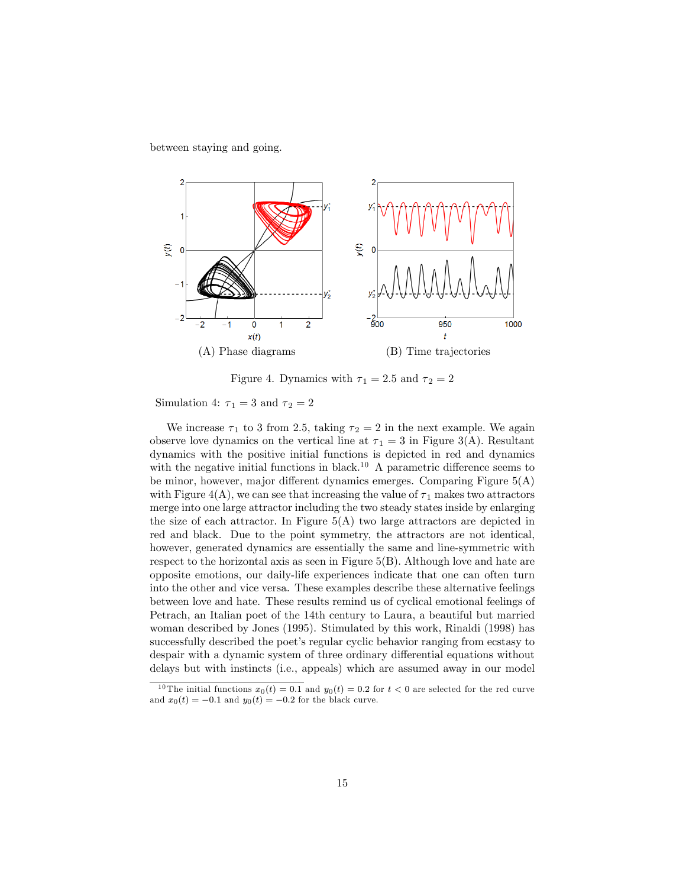between staying and going.



Figure 4. Dynamics with  $\tau_1 = 2.5$  and  $\tau_2 = 2$ 

Simulation 4:  $\tau_1 = 3$  and  $\tau_2 = 2$ 

We increase  $\tau_1$  to 3 from 2.5, taking  $\tau_2 = 2$  in the next example. We again observe love dynamics on the vertical line at  $\tau_1 = 3$  in Figure 3(A). Resultant dynamics with the positive initial functions is depicted in red and dynamics with the negative initial functions in black.<sup>10</sup> A parametric difference seems to be minor, however, major different dynamics emerges. Comparing Figure  $5(A)$ with Figure 4(A), we can see that increasing the value of  $\tau_1$  makes two attractors merge into one large attractor including the two steady states inside by enlarging the size of each attractor. In Figure  $5(A)$  two large attractors are depicted in red and black. Due to the point symmetry, the attractors are not identical, however, generated dynamics are essentially the same and line-symmetric with respect to the horizontal axis as seen in Figure 5(B). Although love and hate are opposite emotions, our daily-life experiences indicate that one can often turn into the other and vice versa. These examples describe these alternative feelings between love and hate. These results remind us of cyclical emotional feelings of Petrach, an Italian poet of the 14th century to Laura, a beautiful but married woman described by Jones (1995). Stimulated by this work, Rinaldi (1998) has successfully described the poet's regular cyclic behavior ranging from ecstasy to despair with a dynamic system of three ordinary differential equations without delays but with instincts (i.e., appeals) which are assumed away in our model

<sup>&</sup>lt;sup>10</sup> The initial functions  $x_0(t) = 0.1$  and  $y_0(t) = 0.2$  for  $t < 0$  are selected for the red curve and  $x_0(t) = -0.1$  and  $y_0(t) = -0.2$  for the black curve.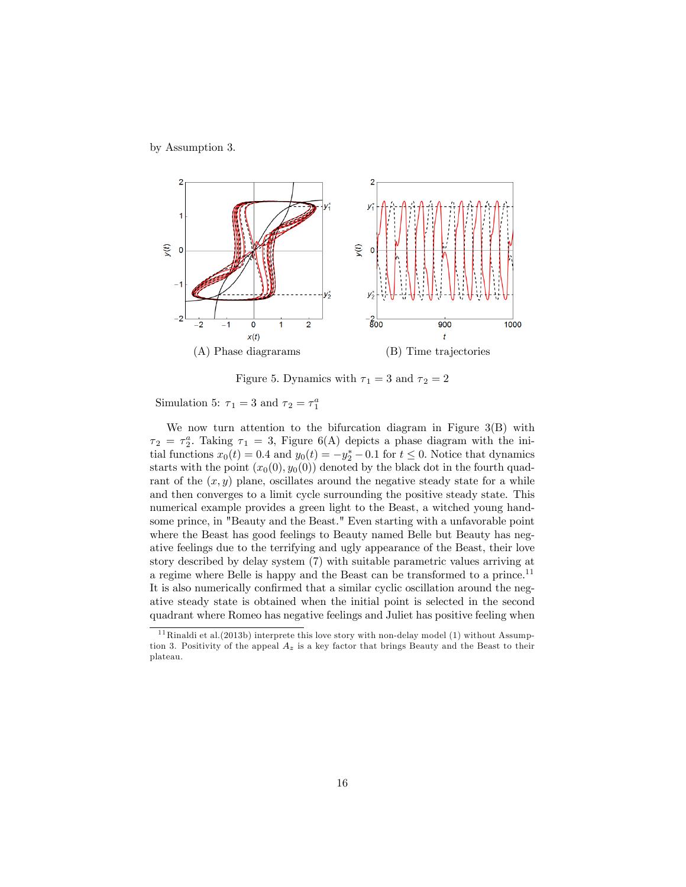by Assumption 3.



Figure 5. Dynamics with  $\tau_1 = 3$  and  $\tau_2 = 2$ 

Simulation 5:  $\tau_1 = 3$  and  $\tau_2 = \tau_1^a$ 

We now turn attention to the bifurcation diagram in Figure 3(B) with  $\tau_2 = \tau_2^a$ . Taking  $\tau_1 = 3$ , Figure 6(A) depicts a phase diagram with the initial functions  $x_0(t) = 0.4$  and  $y_0(t) = -y_2^* - 0.1$  for  $t \le 0$ . Notice that dynamics starts with the point  $(x_0(0), y_0(0))$  denoted by the black dot in the fourth quadrant of the  $(x, y)$  plane, oscillates around the negative steady state for a while and then converges to a limit cycle surrounding the positive steady state. This numerical example provides a green light to the Beast, a witched young handsome prince, in "Beauty and the Beast." Even starting with a unfavorable point where the Beast has good feelings to Beauty named Belle but Beauty has negative feelings due to the terrifying and ugly appearance of the Beast, their love story described by delay system (7) with suitable parametric values arriving at a regime where Belle is happy and the Beast can be transformed to a prince.<sup>11</sup> It is also numerically confirmed that a similar cyclic oscillation around the negative steady state is obtained when the initial point is selected in the second quadrant where Romeo has negative feelings and Juliet has positive feeling when

<sup>&</sup>lt;sup>11</sup> Rinaldi et al.(2013b) interprete this love story with non-delay model (1) without Assumption 3. Positivity of the appeal  $A_z$  is a key factor that brings Beauty and the Beast to their plateau.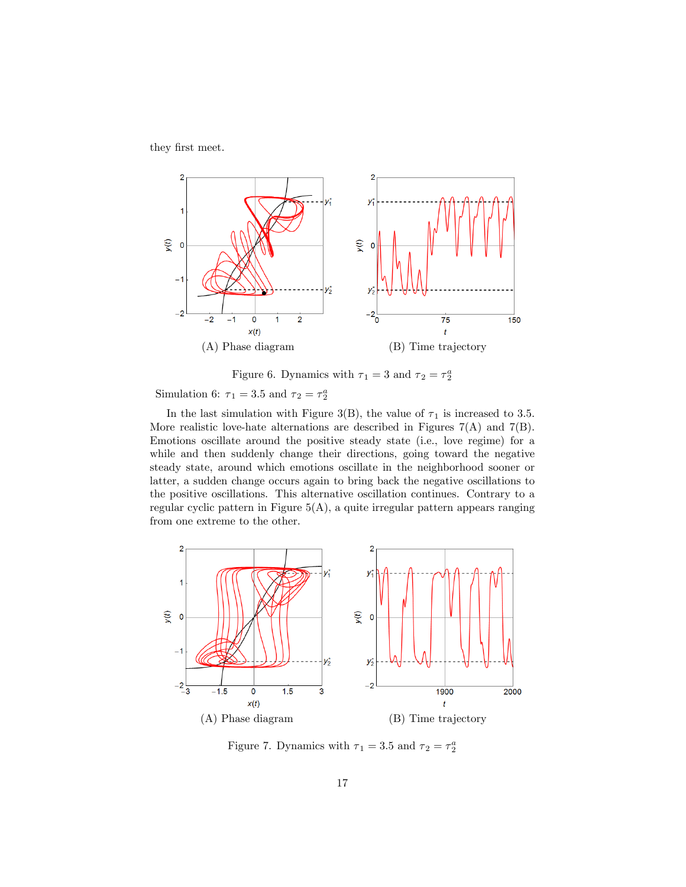they first meet.



Figure 6. Dynamics with  $\tau_1 = 3$  and  $\tau_2 = \tau_2^a$ 

Simulation 6:  $\tau_1 = 3.5$  and  $\tau_2 = \tau_2^a$ 

In the last simulation with Figure 3(B), the value of  $\tau_1$  is increased to 3.5. More realistic love-hate alternations are described in Figures  $7(A)$  and  $7(B)$ . Emotions oscillate around the positive steady state (i.e., love regime) for a while and then suddenly change their directions, going toward the negative steady state, around which emotions oscillate in the neighborhood sooner or latter, a sudden change occurs again to bring back the negative oscillations to the positive oscillations. This alternative oscillation continues. Contrary to a regular cyclic pattern in Figure  $5(A)$ , a quite irregular pattern appears ranging from one extreme to the other.



Figure 7. Dynamics with  $\tau_1 = 3.5$  and  $\tau_2 = \tau_2^a$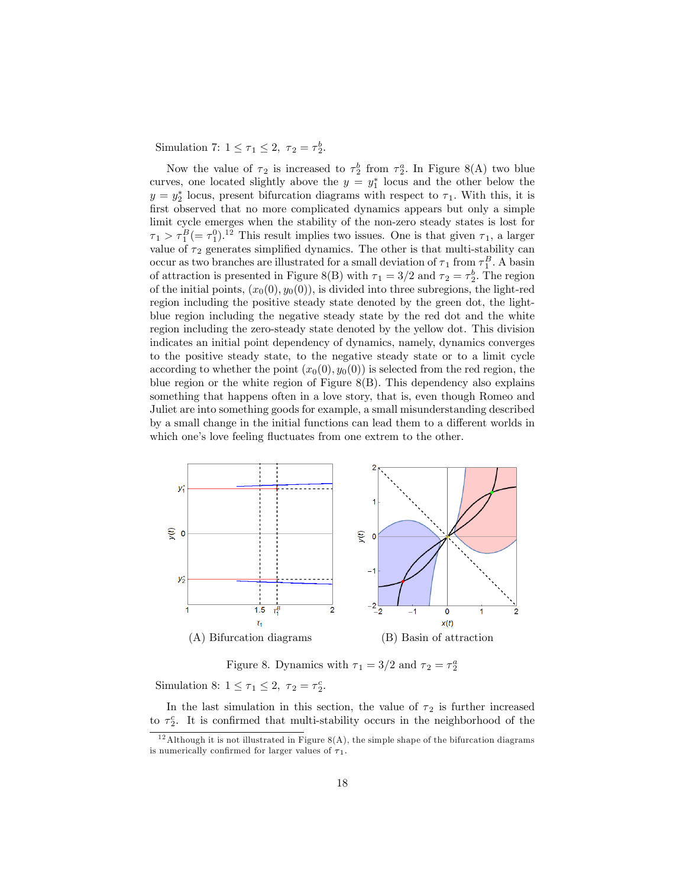Simulation 7:  $1 \leq \tau_1 \leq 2$ ,  $\tau_2 = \tau_2^b$ .

Now the value of  $\tau_2$  is increased to  $\tau_2^b$  from  $\tau_2^a$ . In Figure 8(A) two blue curves, one located slightly above the  $y = y_1^*$  locus and the other below the  $y = y_2^*$  locus, present bifurcation diagrams with respect to  $\tau_1$ . With this, it is first observed that no more complicated dynamics appears but only a simple limit cycle emerges when the stability of the non-zero steady states is lost for  $\tau_1 > \tau_1^B (=\tau_1^0)^{12}$  This result implies two issues. One is that given  $\tau_1$ , a larger value of  $\tau_2$  generates simplified dynamics. The other is that multi-stability can occur as two branches are illustrated for a small deviation of  $\tau_1$  from  $\tau_1^B$ . A basin of attraction is presented in Figure 8(B) with  $\tau_1 = 3/2$  and  $\tau_2 = \tau_2^b$ . The region of the initial points,  $(x_0(0), y_0(0))$ , is divided into three subregions, the light-red region including the positive steady state denoted by the green dot, the lightblue region including the negative steady state by the red dot and the white region including the zero-steady state denoted by the yellow dot. This division indicates an initial point dependency of dynamics, namely, dynamics converges to the positive steady state, to the negative steady state or to a limit cycle according to whether the point  $(x_0(0), y_0(0))$  is selected from the red region, the blue region or the white region of Figure 8(B). This dependency also explains something that happens often in a love story, that is, even though Romeo and Juliet are into something goods for example, a small misunderstanding described by a small change in the initial functions can lead them to a different worlds in which one's love feeling fluctuates from one extrem to the other.



Figure 8. Dynamics with  $\tau_1 = 3/2$  and  $\tau_2 = \tau_2^a$ 

Simulation 8:  $1 \leq \tau_1 \leq 2$ ,  $\tau_2 = \tau_2^c$ .

In the last simulation in this section, the value of  $\tau_2$  is further increased to  $\tau_2^c$ . It is confirmed that multi-stability occurs in the neighborhood of the

<sup>&</sup>lt;sup>12</sup> Although it is not illustrated in Figure  $8(A)$ , the simple shape of the bifurcation diagrams is numerically confirmed for larger values of  $\tau_1$ .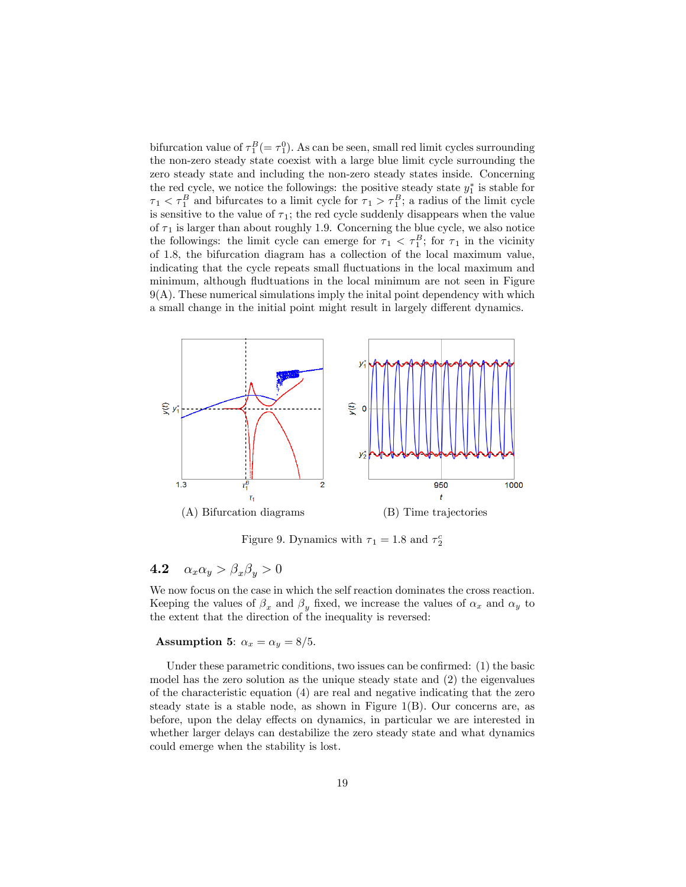bifurcation value of  $\tau_1^B = \tau_1^0$ . As can be seen, small red limit cycles surrounding the non-zero steady state coexist with a large blue limit cycle surrounding the zero steady state and including the non-zero steady states inside. Concerning the red cycle, we notice the followings: the positive steady state  $y_1^*$  is stable for  $\tau_1 < \tau_1^B$  and bifurcates to a limit cycle for  $\tau_1 > \tau_1^B$ ; a radius of the limit cycle is sensitive to the value of  $\tau_1$ ; the red cycle suddenly disappears when the value of  $\tau_1$  is larger than about roughly 1.9. Concerning the blue cycle, we also notice the followings: the limit cycle can emerge for  $\tau_1 < \tau_1^B$ ; for  $\tau_1$  in the vicinity of 1:8, the bifurcation diagram has a collection of the local maximum value, indicating that the cycle repeats small fluctuations in the local maximum and minimum, although fluctuations in the local minimum are not seen in Figure 9(A). These numerical simulations imply the inital point dependency with which a small change in the initial point might result in largely different dynamics.



Figure 9. Dynamics with  $\tau_1 = 1.8$  and  $\tau_2^c$ 

## 4.2  $\alpha_x \alpha_y > \beta_x \beta_y > 0$

We now focus on the case in which the self reaction dominates the cross reaction. Keeping the values of  $\beta_x$  and  $\beta_y$  fixed, we increase the values of  $\alpha_x$  and  $\alpha_y$  to the extent that the direction of the inequality is reversed:

#### Assumption 5:  $\alpha_x = \alpha_y = 8/5$ .

Under these parametric conditions, two issues can be confirmed:  $(1)$  the basic model has the zero solution as the unique steady state and (2) the eigenvalues of the characteristic equation (4) are real and negative indicating that the zero steady state is a stable node, as shown in Figure  $1(B)$ . Our concerns are, as before, upon the delay effects on dynamics, in particular we are interested in whether larger delays can destabilize the zero steady state and what dynamics could emerge when the stability is lost.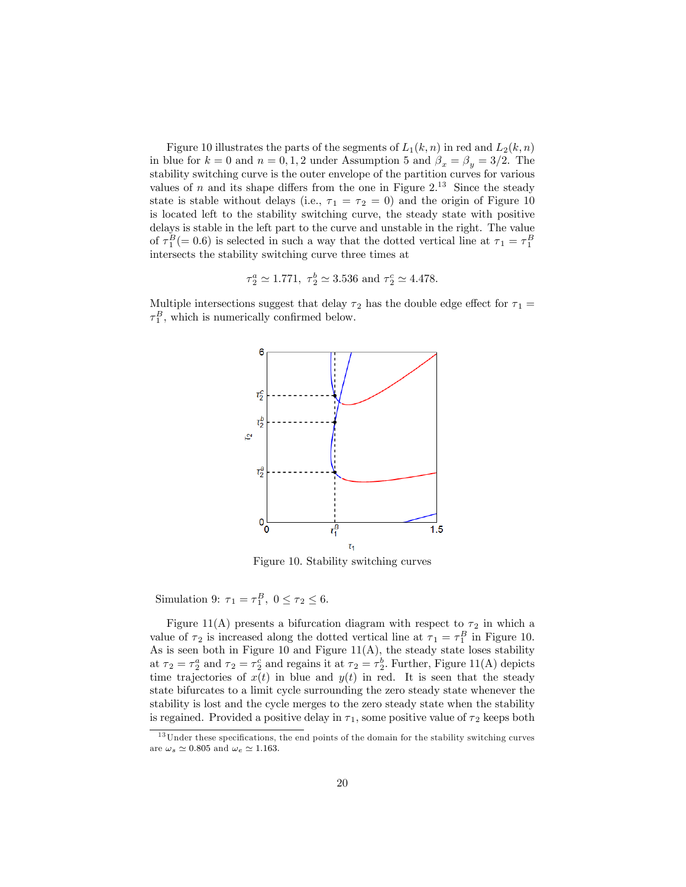Figure 10 illustrates the parts of the segments of  $L_1(k, n)$  in red and  $L_2(k, n)$ in blue for  $k = 0$  and  $n = 0, 1, 2$  under Assumption 5 and  $\beta_x = \beta_y = 3/2$ . The stability switching curve is the outer envelope of the partition curves for various values of n and its shape differs from the one in Figure  $2^{13}$  Since the steady state is stable without delays (i.e.,  $\tau_1 = \tau_2 = 0$ ) and the origin of Figure 10 is located left to the stability switching curve, the steady state with positive delays is stable in the left part to the curve and unstable in the right. The value of  $\tau_1^B(=0.6)$  is selected in such a way that the dotted vertical line at  $\tau_1 = \tau_1^B$ intersects the stability switching curve three times at

$$
\tau_2^a \simeq 1.771, \ \tau_2^b \simeq 3.536 \ \text{and} \ \tau_2^c \simeq 4.478.
$$

Multiple intersections suggest that delay  $\tau_2$  has the double edge effect for  $\tau_1 =$  $\tau_1^B$ , which is numerically confirmed below.



Figure 10. Stability switching curves

Simulation 9:  $\tau_1 = \tau_1^B$ ,  $0 \le \tau_2 \le 6$ .

Figure 11(A) presents a bifurcation diagram with respect to  $\tau_2$  in which a value of  $\tau_2$  is increased along the dotted vertical line at  $\tau_1 = \tau_1^B$  in Figure 10. As is seen both in Figure 10 and Figure  $11(A)$ , the steady state loses stability at  $\tau_2 = \tau_2^a$  and  $\tau_2 = \tau_2^c$  and regains it at  $\tau_2 = \tau_2^b$ . Further, Figure 11(A) depicts time trajectories of  $x(t)$  in blue and  $y(t)$  in red. It is seen that the steady state bifurcates to a limit cycle surrounding the zero steady state whenever the stability is lost and the cycle merges to the zero steady state when the stability is regained. Provided a positive delay in  $\tau_1$ , some positive value of  $\tau_2$  keeps both

 $^{13}$  Under these specifications, the end points of the domain for the stability switching curves are  $\omega_s \simeq 0.805$  and  $\omega_e \simeq 1.163$ .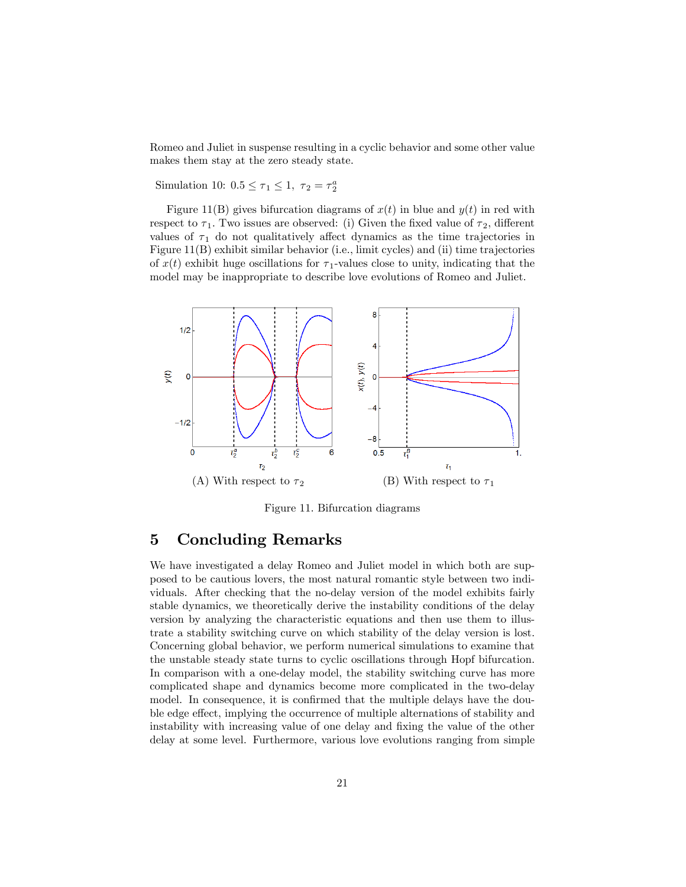Romeo and Juliet in suspense resulting in a cyclic behavior and some other value makes them stay at the zero steady state.

Simulation 10:  $0.5 \le \tau_1 \le 1$ ,  $\tau_2 = \tau_2^a$ 

Figure 11(B) gives bifurcation diagrams of  $x(t)$  in blue and  $y(t)$  in red with respect to  $\tau_1$ . Two issues are observed: (i) Given the fixed value of  $\tau_2$ , different values of  $\tau_1$  do not qualitatively affect dynamics as the time trajectories in Figure 11(B) exhibit similar behavior (i.e., limit cycles) and (ii) time trajectories of  $x(t)$  exhibit huge oscillations for  $\tau_1$ -values close to unity, indicating that the model may be inappropriate to describe love evolutions of Romeo and Juliet.



Figure 11. Bifurcation diagrams

## 5 Concluding Remarks

We have investigated a delay Romeo and Juliet model in which both are supposed to be cautious lovers, the most natural romantic style between two individuals. After checking that the no-delay version of the model exhibits fairly stable dynamics, we theoretically derive the instability conditions of the delay version by analyzing the characteristic equations and then use them to illustrate a stability switching curve on which stability of the delay version is lost. Concerning global behavior, we perform numerical simulations to examine that the unstable steady state turns to cyclic oscillations through Hopf bifurcation. In comparison with a one-delay model, the stability switching curve has more complicated shape and dynamics become more complicated in the two-delay model. In consequence, it is confirmed that the multiple delays have the double edge effect, implying the occurrence of multiple alternations of stability and instability with increasing value of one delay and fixing the value of the other delay at some level. Furthermore, various love evolutions ranging from simple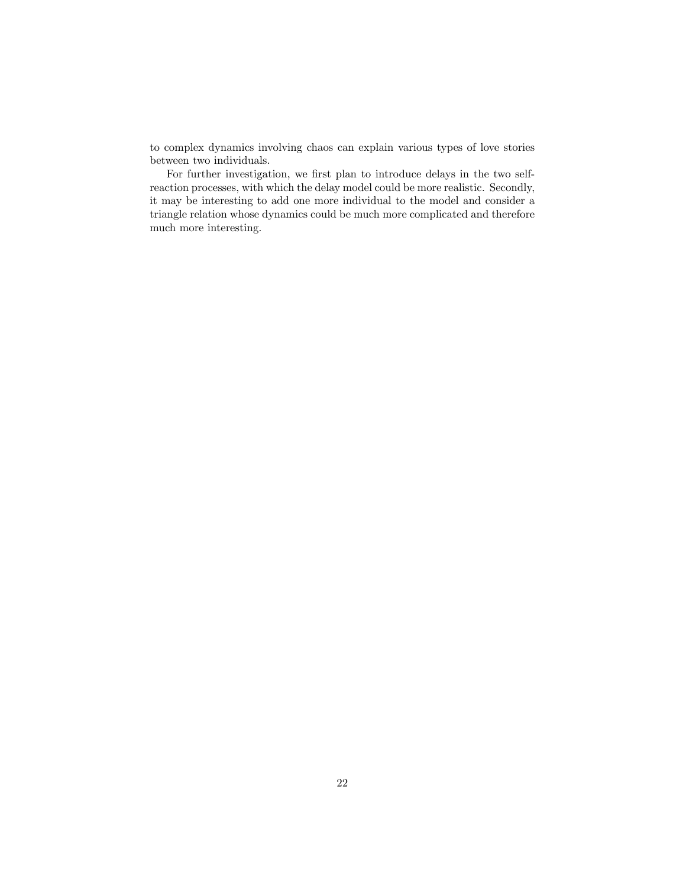to complex dynamics involving chaos can explain various types of love stories between two individuals.

For further investigation, we first plan to introduce delays in the two selfreaction processes, with which the delay model could be more realistic. Secondly, it may be interesting to add one more individual to the model and consider a triangle relation whose dynamics could be much more complicated and therefore much more interesting.